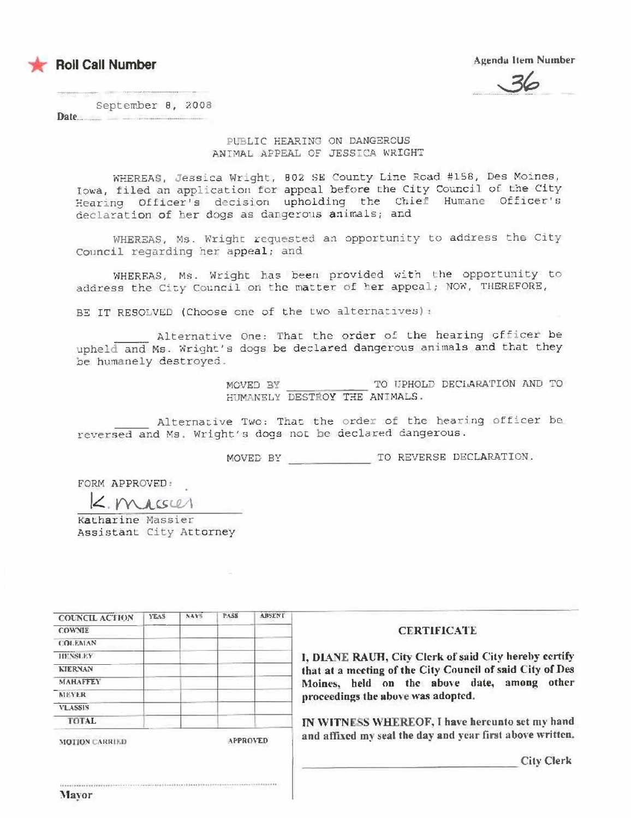

**Agenda Item Number** 

September 8, 2008 Date.

### PUBLIC HEARING ON DANGEROUS ANIMAL APPEAL OF JESSICA WRIGHT

WHEREAS, Jessica Wright, 802 SE County Line Road #158, Des Moines, Iowa, filed an application for appeal before the City Council of the City Hearing Officer's decision upholding the Chief Humane Officer's declaration of her dogs as dangerous animals; and

WHEREAS, Ms. Wright requested an opportunity to address the City Council regarding her appeal; and

WHEREAS, Ms. Wright has been provided with the opportunity to address the City Council on the matter of her appeal; NOW, THEREFORE,

BE IT RESOLVED (Choose one of the two alternatives):

Alternative One: That the order of the hearing officer be upheld and Ms. Wright's dogs be declared dangerous animals and that they be humanely destroyed.

> TO UPHOLD DECLARATION AND TO MOVED BY HUMANELY DESTROY THE ANIMALS.

Alternative Two: That the order of the hearing officer be reversed and Ms. Wright's dogs not be declared dangerous.

FORM APPROVED:

K. Massier

Katharine Massier Assistant City Attorney

| <b>YEAS</b> | 5415 | <b>PASS</b> | <b>ABSENT</b> |
|-------------|------|-------------|---------------|
|             |      |             |               |
|             |      |             |               |
|             |      |             |               |
|             |      |             |               |
|             |      |             |               |
|             |      |             |               |
|             |      |             |               |
|             |      |             |               |
|             |      |             |               |

### **CERTIFICATE**

I. DIANE RAUH, City Clerk of said City hereby certify that at a meeting of the City Council of said City of Des Moines, held on the above date, among other proceedings the above was adopted.

IN WITNESS WHEREOF, I have hereunto set my hand and affixed my seal the day and year first above written.

**City Clerk**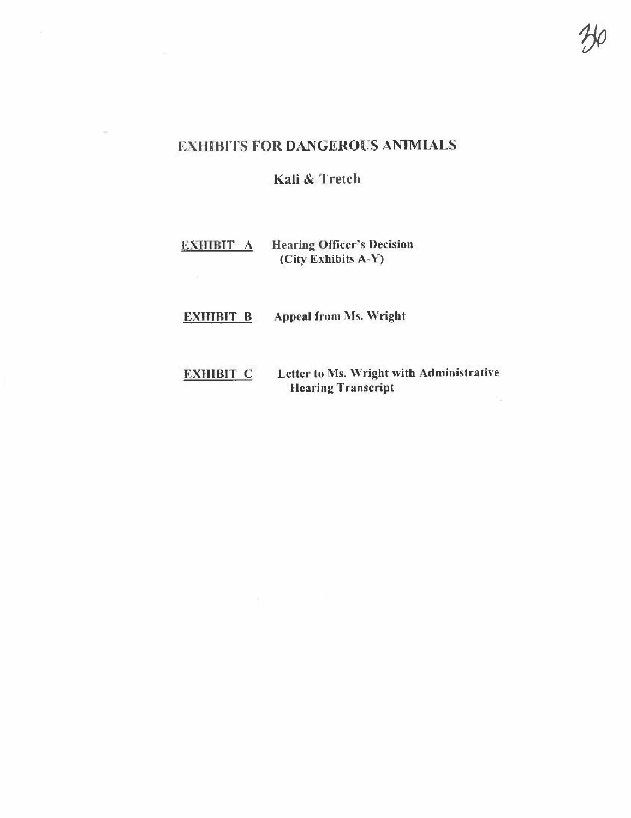# **EXHIBITS FOR DANGEROUS ANIMIALS**

Kali & Tretch

#### **Hearing Officer's Decision EXHIBIT A** (City Exhibits A-Y)

- **EXHIBIT B Appeal from Ms. Wright**
- EXHIBIT C Letter to Ms. Wright with Administrative **Hearing Transcript** h.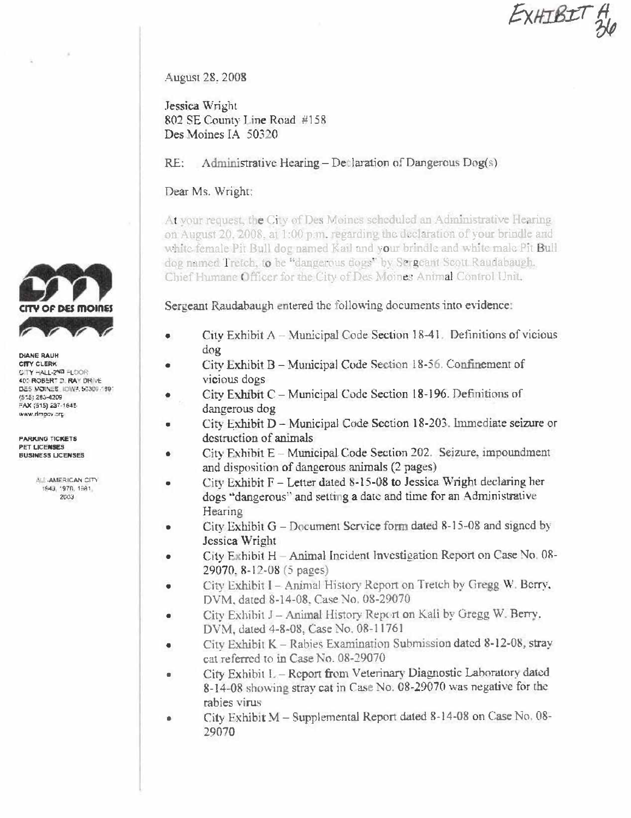EXHIBIT &

August 28, 2008

Jessica Wright 802 SE County Line Road #158 Des Moines JA 50320

RE: Administrative Hearing – Declaration of Dangerous Dog(s)

## Dear Ms. Wright:

At your request, the City of Des Moines scheduled an Administrative Hearing on August 20, 2008, at 1:00 p.m. regarding the declaration of your brindle and white female Pit Bull dog named Kail and your brindle and white male Pit Bull dog named Tretch, to be "dangerous dogs" by Sergeant Scott Raudabaugh, Chief Humane Officer for the City of Des Moines Animal Control Unit.

Sergeant Raudabaugh entered the following documents into evidence:

- City Exhibit A Municipal Code Section 18-41. Definitions of vicious dog
- City Exhibit B Municipal Code Section 18-56. Confinement of vicious dogs
- City Exhibit C Municipal Code Section 18-196. Definitions of dangerous dog
- City Exhibit D Municipal Code Section 18-203. Immediate seizure or destruction of animals
- City Exhibit E Municipal Code Section 202. Seizure, impoundment and disposition of dangerous animals (2 pages)
- City Exhibit  $F -$  Letter dated 8-15-08 to Jessica Wright declaring her dogs "dangerous" and setting a date and time for an Administrative Hearing
- City Exhibit  $G$  Document Service form dated 8-15-08 and signed by Jessica Wright
- City Exhibit H Animal Incident Investigation Report on Case No. 08-29070, 8-12-08 (5 pages)
- City Exhibit I Animal History Report on Tretch by Gregg W. Berry, DVM, dated 8-14-08, Case No. 08-29070
- City Exhibit J Animal History Report on Kali by Gregg W. Berry. DVM, dated 4-8-08, Case No. 08-11761
- City Exhibit K Rabies Examination Submission dated 8-12-08, strav cat referred to in Case No. 08-29070
- City Exhibit L Report from Veterinary Diagnostic Laboratory dated 8-14-08 showing stray cat in Case No. 08-29070 was negative for the rabies virus
- City Exhibit M Supplemental Report dated 8-14-08 on Case No. 08-29070



**DIANE RAUH CITY CLERK** CITY HALL-2ND FLOOR 400 ROBERT D. RAY DRIVE DES WORKES, IDWA, 50309-1891 4515: 283-4209 FAX (515) 237-1645 ano vogmh, www

**PARKING TICKETS** PET LICENSES **BUSINESS LICENSES** 

> ALL-AMERICAN CITY 1943, 1970, 1981. 2003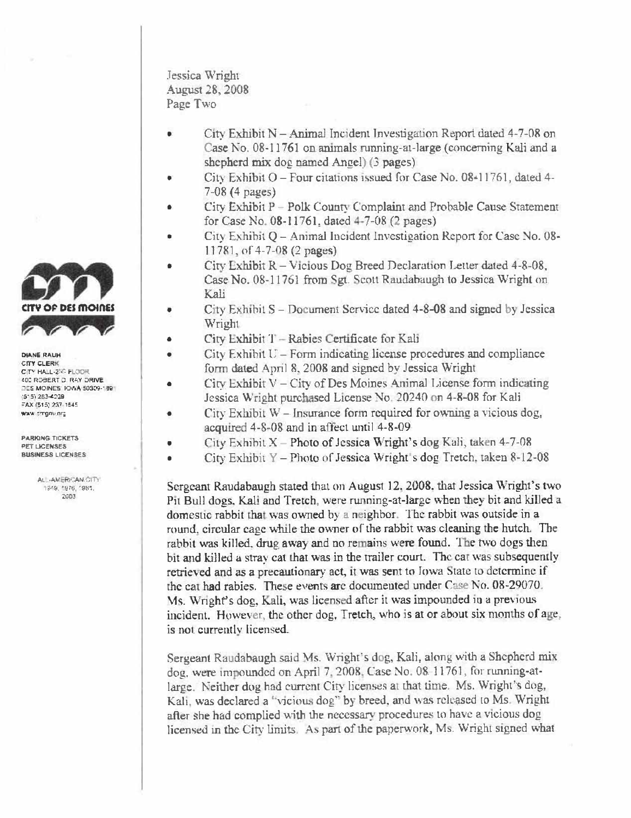DE DES MOINES

**DIANE RAUH CITY CLERK** CITY HALL-2ND FLOOR 402 ROBERT D. RAY DRIVE DES MOINES: 10WA 50309-189 (515) 283-4239 FAX (515) 237-1845 ware pregniuning

**PARKING TICKETS PFT LICENSES BUSINESS LICENSES** 

> AL -AMERICAN-CITY 1949, 1976, 1981. 2003

 $\bullet$ 

Jessica Wright **August 28, 2008** Page Two

- City Exhibit N Animal Incident Investigation Report dated 4-7-08 on Case No. 08-11761 on animals running-at-large (concerning Kali and a shepherd mix dog named Angel) (3 pages)
- City Exhibit O Four citations issued for Case No. 08-11761, dated 4-7-08 (4 pages)
- City Exhibit P Polk County Complaint and Probable Cause Statement for Case No. 08-11761, dated 4-7-08 (2 pages)
- City Exhibit Q Animal Incident Investigation Report for Case No. 08-11781, of 4-7-08 (2 pages)
- City Exhibit R Vicious Dog Breed Declaration Letter dated 4-8-08, Case No. 08-11761 from Sgt. Scott Raudabaugh to Jessica Wright on Kali
- City Exhibit S Document Service dated 4-8-08 and signed by Jessica Wright
- City Exhibit T Rabies Certificate for Kali
- City Exhibit U Form indicating license procedures and compliance  $\bullet$ form dated April 8, 2008 and signed by Jessica Wright
- $C$ ity Exhibit V  $C$ ity of Des Moines Animal License form indicating Jessica Wright purchased License No. 20240 on 4-8-08 for Kali
	- City Exhibit W Insurance form required for owning a vicious dog, acquired 4-8-08 and in affect until 4-8-09
- City Exhibit X Photo of Jessica Wright's dog Kali, taken 4-7-08
- City Exhibit Y Photo of Jessica Wright's dog Tretch, taken 8-12-08

Sergeant Raudabaugh stated that on August 12, 2008, that Jessica Wright's two Pit Bull dogs. Kali and Tretch, were running-at-large when they bit and killed a domestic rabbit that was owned by a neighbor. The rabbit was outside in a round, circular cage while the owner of the rabbit was cleaning the hutch. The rabbit was killed, drug away and no remains were found. The two dogs then bit and killed a stray cat that was in the trailer court. The cat was subsequently retrieved and as a precautionary act, it was sent to Iowa State to determine if the cat had rabies. These events are documented under Case No. 08-29070. Ms. Wright's dog, Kali, was licensed after it was impounded in a previous incident. However, the other dog, Tretch, who is at or about six months of age. is not currently licensed.

Sergeant Raudabaugh said Ms. Wright's dog, Kali, along with a Shepherd mix dog, were impounded on April 7, 2008. Case No. 08.11761, for running-atlarge. Neither dog had current City licenses at that time. Ms. Wright's dog, Kali, was declared a "vicious dog" by breed, and was released to Ms. Wright after she had complied with the necessary procedures to have a vicious dog licensed in the City limits. As part of the paperwork, Ms. Wright signed what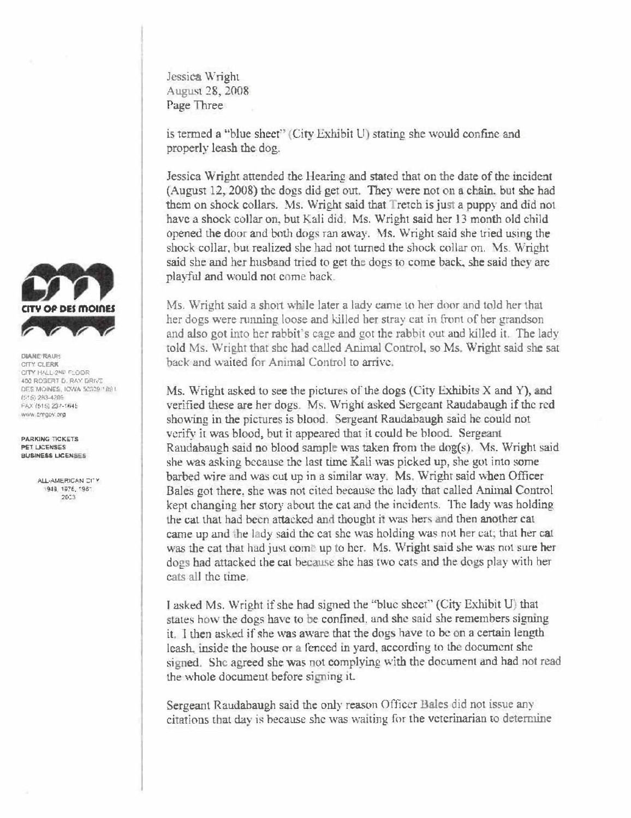Jessica Wright August 28, 2008 Page Three

is termed a "blue sheet" (City Exhibit U) stating she would confine and properly leash the dog.

Jessica Wright attended the Hearing and stated that on the date of the incident (August 12, 2008) the dogs did get out. They were not on a chain, but she had them on shock collars. Ms. Wright said that Tretch is just a puppy and did not have a shock collar on, but Kali did. Ms. Wright said her 13 month old child opened the door and both dogs ran away. Ms. Wright said she tried using the shock collar, but realized she had not turned the shock collar on. Ms. Wright said she and her husband tried to get the dogs to come back, she said they are playful and would not come back.

Ms. Wright said a short while later a lady came to her door and told her that her dogs were running loose and killed her stray cat in front of her grandson and also got into her rabbit's cage and got the rabbit out and killed it. The lady told Ms. Wright that she had called Animal Control, so Ms. Wright said she sat back and waited for Animal Control to arrive.

Ms. Wright asked to see the pictures of the dogs (City Exhibits X and Y), and verified these are her dogs. Ms. Wright asked Sergeant Raudabaugh if the red showing in the pictures is blood. Sergeant Raudabaugh said he could not verify it was blood, but it appeared that it could be blood. Sergeant Raudabaugh said no blood sample was taken from the dog(s). Ms. Wright said she was asking because the last time Kali was picked up, she got into some barbed wire and was cut up in a similar way. Ms. Wright said when Officer Bales got there, she was not cited because the lady that called Animal Control kept changing her story about the cat and the incidents. The lady was holding the cat that had been attacked and thought it was hers and then another cat came up and the lady said the cat she was holding was not her cat; that her cat was the cat that had just come up to her. Ms. Wright said she was not sure her dogs had attacked the cat because she has two cats and the dogs play with her cats all the time.

I asked Ms. Wright if she had signed the "blue sheet" (City Exhibit U) that states how the dogs have to be confined, and she said she remembers signing it. I then asked if she was aware that the dogs have to be on a certain length leash, inside the house or a fenced in yard, according to the document she signed. She agreed she was not complying with the document and had not read the whole document before signing it.

Sergeant Raudabaugh said the only reason Officer Bales did not issue any citations that day is because she was waiting for the veterinarian to determine



**DIANE RAUH** CITY CLERK CITY HALL-2ND FLOOR 400 ROBERT D. RAY DRIVE DES MOINES, IOWA 50009 1891 75163-283-4206 FAX (515) 237-1645 www.emgov.org

**PARKING TICKETS PET LICENSES** BUSINESS LICENSES

> ALL-AMERICAN DITY 949, 1976, 1981 2003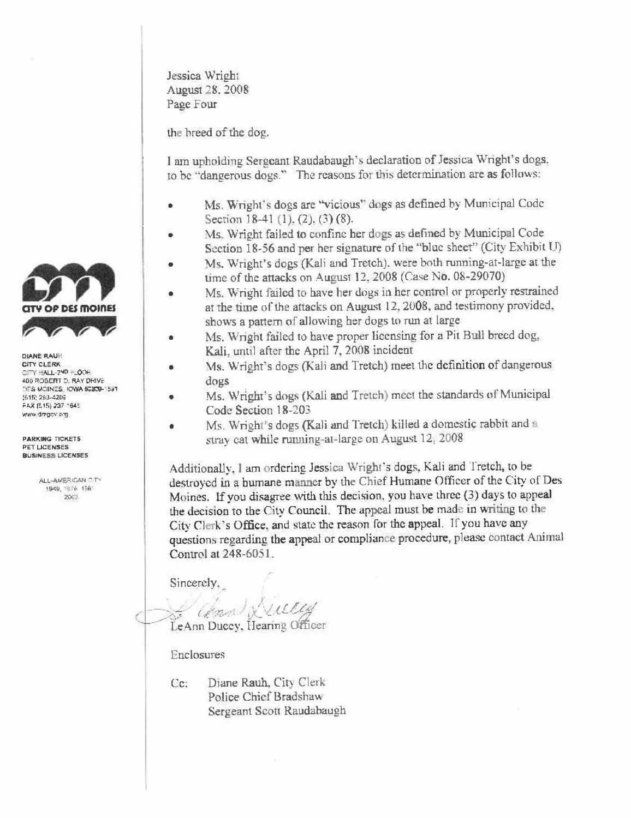

the breed of the dog.

I am upholding Sergeant Raudabaugh's declaration of Jessica Wright's dogs. to be "dangerous dogs." The reasons for this determination are as follows:

- Ms. Wright's dogs are "vicious" dogs as defined by Municipal Code ò Section 18-41 (1), (2), (3) (8).
- Ms. Wright failed to confine her dogs as defined by Municipal Code Section 18-56 and per her signature of the "blue sheet" (City Exhibit U)
- Ms. Wright's dogs (Kali and Tretch), were both running-at-large at the time of the attacks on August 12, 2008 (Case No. 08-29070)
- Ms. Wright failed to have her dogs in her control or properly restrained at the time of the attacks on August 12, 2008, and testimony provided. shows a pattern of allowing her dogs to run at large
- Ms. Wright failed to have proper licensing for a Pit Bull breed dog. Kali, until after the April 7, 2008 incident
- Ms. Wright's dogs (Kali and Tretch) meet the definition of dangerous dogs
- Ms. Wright's dogs (Kali and Tretch) meet the standards of Municipal Code Section 18-203
- Ms. Wright's dogs (Kali and Tretch) killed a domestic rabbit and a stray cat while running-at-large on August 12, 2008

Additionally, I am ordering Jessica Wright's dogs, Kali and Tretch, to be destroyed in a humane manner by the Chief Humane Officer of the City of Des Moines. If you disagree with this decision, you have three (3) days to appeal the decision to the City Council. The appeal must be made in writing to the City Clerk's Office, and state the reason for the appeal. If you have any questions regarding the appeal or compliance procedure, please contact Animal Control at 248-6051.

Sincerely.

Ville Complix LeAnn Ducey, Hearing Officer

Enclosures

Cc. Diane Rauh, City Clerk Police Chief Bradshaw Sergeant Scott Raudabaugh



**DIANE RAUH CITY CLERK** CITY HALL-2ND HLOOR 400 ROSERT D. RAY DRIVE DES MOINES, IOWA 50309-1591 (515) 263-4209 FAX (515) 237-1645 www.dregov.erg

**PARKING TICKETS** PET LICENSES **BUSINESS LICENSES** 

> ALL-AMERICAN CITY 1949, 1976, 1981 2003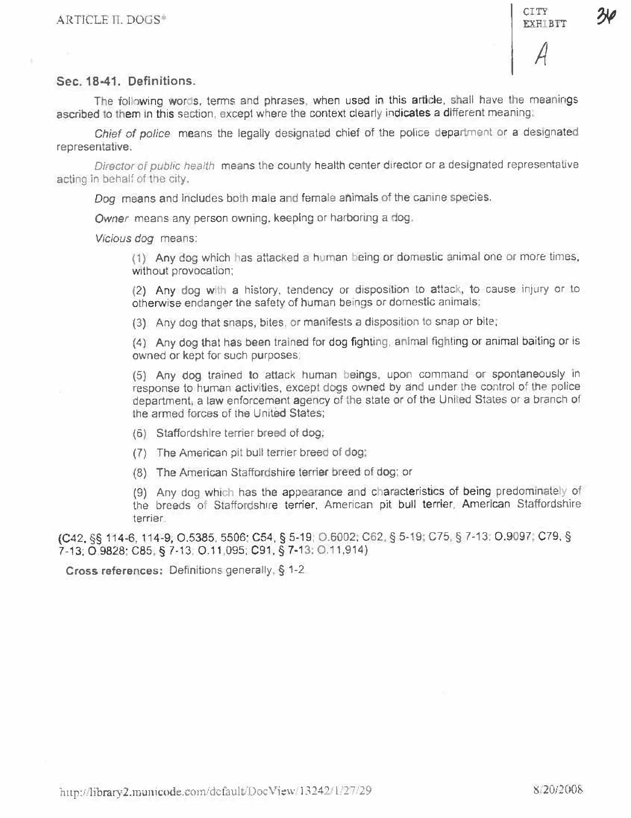**CITY** 

# Sec. 18-41. Definitions.

The following words, terms and phrases, when used in this article, shall have the meanings ascribed to them in this section, except where the context clearly indicates a different meaning:

Chief of police means the legally designated chief of the police department or a designated representative.

Director of public health means the county health center director or a designated representative acting in behalf of the city.

Dog means and includes both male and female animals of the canine species.

Owner means any person owning, keeping or harboring a dog.

Vicious dog means:

(1) Any dog which has attacked a human being or domestic animal one or more times, without provocation;

(2) Any dog with a history, tendency or disposition to attack, to cause injury or to otherwise endanger the safety of human beings or domestic animals:

(3) Any dog that snaps, bites, or manifests a disposition to snap or bite;

(4) Any dog that has been trained for dog fighting, animal fighting or animal bailing or is owned or kept for such purposes;

(5) Any dog trained to attack human beings, upon command or spontaneously in response to human activities, except dogs owned by and under the control of the police department, a law enforcement agency of the state or of the United States or a branch of the armed forces of the United States;

- (6) Staffordshire terrier breed of dog;
- (7) The American pit bull terrier breed of dog:
- (8) The American Staffordshire terrier breed of dog; or

(9) Any dog which has the appearance and characteristics of being predominately of the breeds of Staffordshire terrier, American pit bull terrier, American Staffordshire terrier.

(C42, §§ 114-6, 114-9, O.5385, 5506; C54, § 5-19; O.6002, C62, § 5-19; C75, § 7-13; O.9097, C79, § 7-13: O 9828: C85, § 7-13, O.11, 095, C91, § 7-13, O.11, 914)

Cross references: Definitions generally, § 1-2